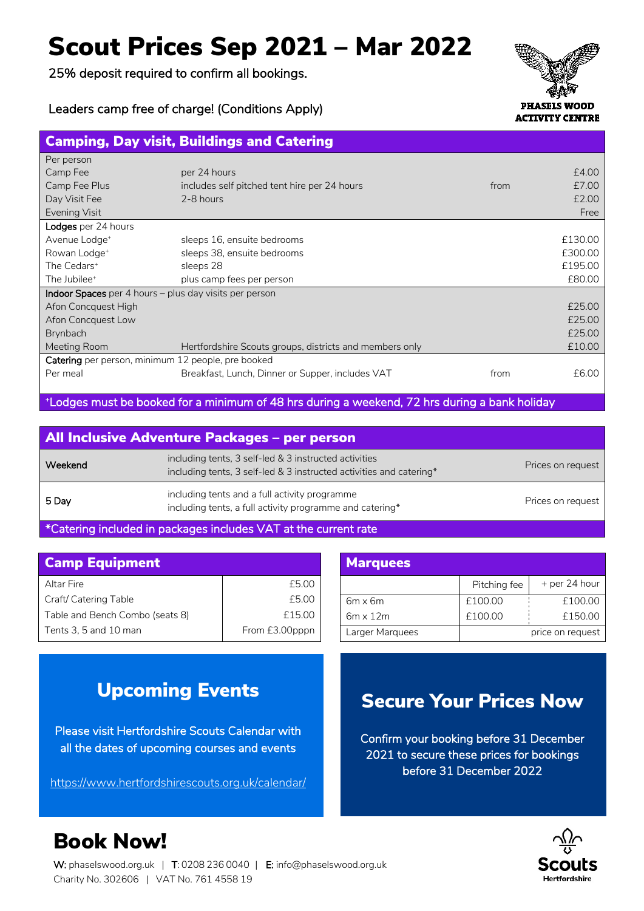## Scout Prices Sep 2021 – Mar 2022

25% deposit required to confirm all bookings.





# Camping, Day visit, Buildings and Catering

| Per person                                                    |                                                         |      |         |  |
|---------------------------------------------------------------|---------------------------------------------------------|------|---------|--|
| Camp Fee                                                      | per 24 hours                                            |      | £4.00   |  |
| Camp Fee Plus                                                 | includes self pitched tent hire per 24 hours            | from | £7.00   |  |
| Day Visit Fee                                                 | 2-8 hours                                               |      | £2.00   |  |
| <b>Evening Visit</b>                                          |                                                         |      | Free    |  |
| Lodges per 24 hours                                           |                                                         |      |         |  |
| Avenue Lodge <sup>+</sup>                                     | sleeps 16, ensuite bedrooms                             |      | £130.00 |  |
| Rowan Lodge <sup>+</sup>                                      | sleeps 38, ensuite bedrooms                             |      | £300.00 |  |
| The Cedars <sup>+</sup>                                       | sleeps 28                                               |      | £195.00 |  |
| The Jubilee <sup>+</sup>                                      | plus camp fees per person                               |      | £80.00  |  |
| <b>Indoor Spaces</b> per 4 hours – plus day visits per person |                                                         |      |         |  |
| Afon Concquest High                                           |                                                         |      | £25.00  |  |
| Afon Concquest Low                                            |                                                         |      | £25.00  |  |
| Brynbach                                                      |                                                         |      | £25.00  |  |
| Meeting Room                                                  | Hertfordshire Scouts groups, districts and members only |      | £10.00  |  |
| Catering per person, minimum 12 people, pre booked            |                                                         |      |         |  |
| Per meal                                                      | Breakfast, Lunch, Dinner or Supper, includes VAT        | from | £6.00   |  |
|                                                               |                                                         |      |         |  |

+ Lodges must be booked for a minimum of 48 hrs during a weekend, 72 hrs during a bank holiday

| All Inclusive Adventure Packages - per person |                                                                                                                              |                   |  |
|-----------------------------------------------|------------------------------------------------------------------------------------------------------------------------------|-------------------|--|
| Weekend                                       | including tents, 3 self-led & 3 instructed activities<br>including tents, 3 self-led & 3 instructed activities and catering* | Prices on request |  |
| 5 Day                                         | including tents and a full activity programme<br>including tents, a full activity programme and catering*                    | Prices on request |  |
|                                               |                                                                                                                              |                   |  |

\*Catering included in packages includes VAT at the current rate

| <b>Camp Equipment</b>           |                |  | <b>Marquees</b> |
|---------------------------------|----------------|--|-----------------|
| Altar Fire                      | £5.00          |  |                 |
| Craft/ Catering Table           | £5.00          |  | $6m \times 6m$  |
| Table and Bench Combo (seats 8) | £15.00         |  | $6m \times 12m$ |
| Tents 3, 5 and 10 man           | From £3.00pppn |  | Larger Marquee  |

| <b>Marquees</b> |              |                  |  |
|-----------------|--------------|------------------|--|
|                 | Pitching fee | + per 24 hour    |  |
| $6m \times 6m$  | £100.00      | £100.00          |  |
| $6m \times 12m$ | £100.00      | £150.00          |  |
| Larger Marquees |              | price on request |  |

### Upcoming Events

Please visit Hertfordshire Scouts Calendar with all the dates of upcoming courses and events

https://www.hertfordshirescouts.org.uk/calendar/

#### Secure Your Prices Now

Confirm your booking before 31 December 2021 to secure these prices for bookings before 31 December 2022



## Book Now!

W: phaselswood.org.uk | T: 0208 236 0040 | E: info@phaselswood.org.uk Charity No. 302606 | VAT No. 761 4558 19